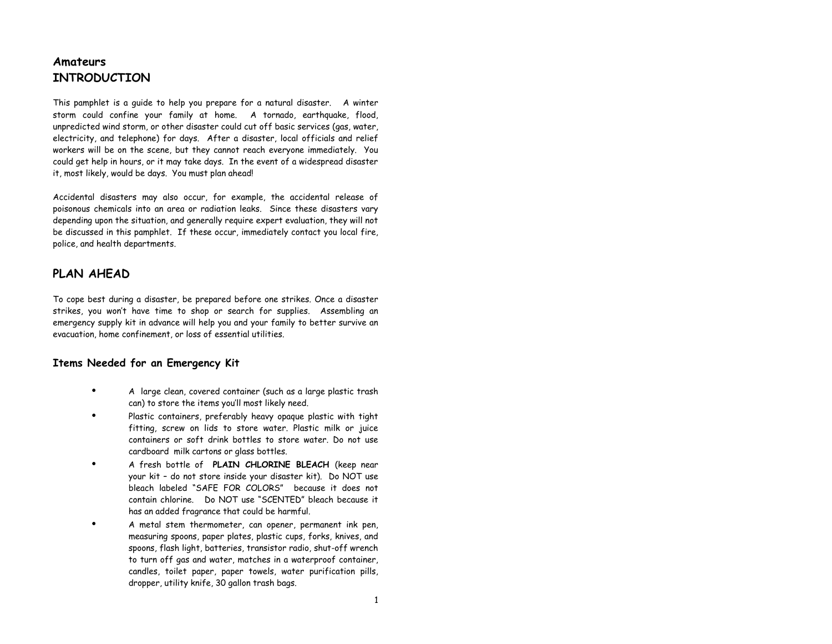## **Amateurs INTRODUCTION**

This pamphlet is a guide to help you prepare for a natural disaster. A winter storm could confine your family at home. A tornado, earthquake, flood, unpredicted wind storm, or other disaster could cut off basic services (gas, water, electricity, and telephone) for days. After a disaster, local officials and relief workers will be on the scene, but they cannot reach everyone immediately. You could get help in hours, or it may take days. In the event of a widespread disaster it, most likely, would be days. You must plan ahead!

Accidental disasters may also occur, for example, the accidental release of poisonous chemicals into an area or radiation leaks. Since these disasters vary depending upon the situation, and generally require expert evaluation, they will not be discussed in this pamphlet. If these occur, immediately contact you local fire, police, and health departments.

## **PLAN AHEAD**

To cope best during a disaster, be prepared before one strikes. Once a disaster strikes, you won't have time to shop or search for supplies. Assembling an emergency supply kit in advance will help you and your family to better survive an evacuation, home confinement, or loss of essential utilities.

### **Items Needed for an Emergency Kit**

- **·** A large clean, covered container (such as a large plastic trash can) to store the items you'll most likely need.
- **·** Plastic containers, preferably heavy opaque plastic with tight fitting, screw on lids to store water. Plastic milk or juice containers or soft drink bottles to store water. Do not use cardboard milk cartons or glass bottles.
- **·** A fresh bottle of **PLAIN CHLORINE BLEACH** (keep near your kit – do not store inside your disaster kit). Do NOT use bleach labeled "SAFE FOR COLORS" because it does not contain chlorine. Do NOT use "SCENTED" bleach because it has an added fragrance that could be harmful.
- **·** A metal stem thermometer, can opener, permanent ink pen, measuring spoons, paper plates, plastic cups, forks, knives, and spoons, flash light, batteries, transistor radio, shut-off wrench to turn off gas and water, matches in a waterproof container, candles, toilet paper, paper towels, water purification pills, dropper, utility knife, 30 gallon trash bags.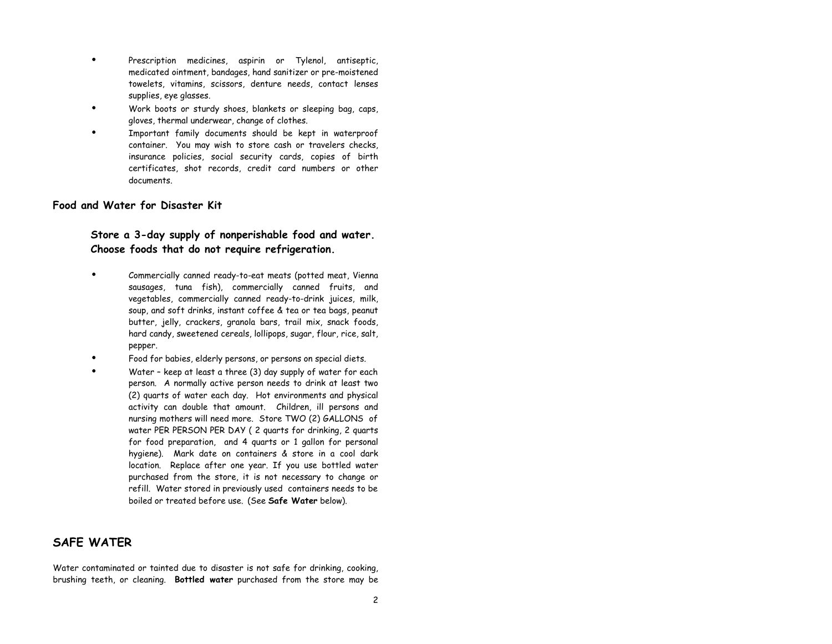- **·** Prescription medicines, aspirin or Tylenol, antiseptic, medicated ointment, bandages, hand sanitizer or pre-moistened towelets, vitamins, scissors, denture needs, contact lenses supplies, eye glasses.
- **·** Work boots or sturdy shoes, blankets or sleeping bag, caps, gloves, thermal underwear, change of clothes.
- **·** Important family documents should be kept in waterproof container. You may wish to store cash or travelers checks, insurance policies, social security cards, copies of birth certificates, shot records, credit card numbers or other documents.

#### **Food and Water for Disaster Kit**

### **Store a 3-day supply of nonperishable food and water. Choose foods that do not require refrigeration.**

- **·** Commercially canned ready-to-eat meats (potted meat, Vienna sausages, tuna fish), commercially canned fruits, and vegetables, commercially canned ready-to-drink juices, milk, soup, and soft drinks, instant coffee & tea or tea bags, peanut butter, jelly, crackers, granola bars, trail mix, snack foods, hard candy, sweetened cereals, lollipops, sugar, flour, rice, salt, pepper.
- **·** Food for babies, elderly persons, or persons on special diets.
- **·** Water keep at least a three (3) day supply of water for each person. A normally active person needs to drink at least two (2) quarts of water each day. Hot environments and physical activity can double that amount. Children, ill persons and nursing mothers will need more. Store TWO (2) GALLONS of water PER PERSON PER DAY ( 2 quarts for drinking, 2 quarts for food preparation, and 4 quarts or 1 gallon for personal hygiene). Mark date on containers & store in a cool dark location. Replace after one year. If you use bottled water purchased from the store, it is not necessary to change or refill. Water stored in previously used containers needs to be boiled or treated before use. (See **Safe Water** below).

### **SAFE WATER**

Water contaminated or tainted due to disaster is not safe for drinking, cooking, brushing teeth, or cleaning. **Bottled water** purchased from the store may be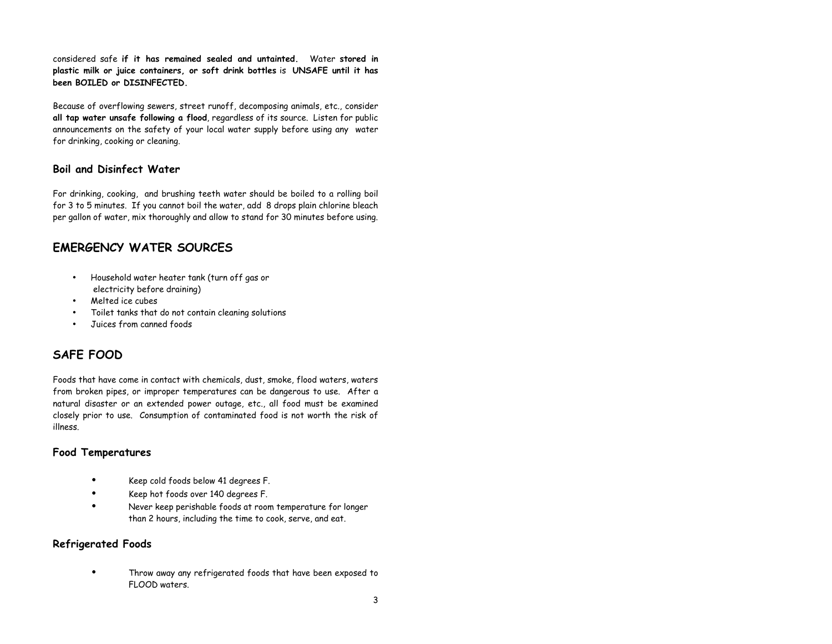considered safe **if it has remained sealed and untainted.** Water **stored in plastic milk or juice containers, or soft drink bottles** is **UNSAFE until it has been BOILED or DISINFECTED.**

Because of overflowing sewers, street runoff, decomposing animals, etc., consider **all tap water unsafe following a flood**, regardless of its source. Listen for public announcements on the safety of your local water supply before using any water for drinking, cooking or cleaning.

### **Boil and Disinfect Water**

For drinking, cooking, and brushing teeth water should be boiled to a rolling boil for 3 to 5 minutes. If you cannot boil the water, add 8 drops plain chlorine bleach per gallon of water, mix thoroughly and allow to stand for 30 minutes before using.

## **EMERGENCY WATER SOURCES**

- Household water heater tank (turn off gas or electricity before draining)
- Melted ice cubes
- Toilet tanks that do not contain cleaning solutions
- Juices from canned foods

# **SAFE FOOD**

Foods that have come in contact with chemicals, dust, smoke, flood waters, waters from broken pipes, or improper temperatures can be dangerous to use. After a natural disaster or an extended power outage, etc., all food must be examined closely prior to use. Consumption of contaminated food is not worth the risk of illness.

#### **Food Temperatures**

- **·** Keep cold foods below 41 degrees F.
- **·** Keep hot foods over 140 degrees F.
- **·** Never keep perishable foods at room temperature for longer than 2 hours, including the time to cook, serve, and eat.

#### **Refrigerated Foods**

**·** Throw away any refrigerated foods that have been exposed to FLOOD waters.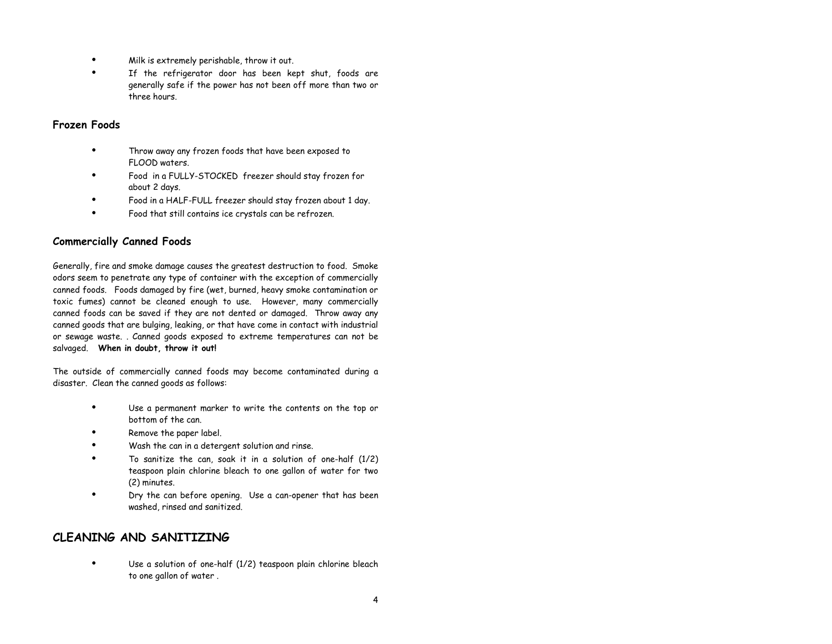- **·** Milk is extremely perishable, throw it out.
- **·** If the refrigerator door has been kept shut, foods are generally safe if the power has not been off more than two or three hours.

#### **Frozen Foods**

- **·** Throw away any frozen foods that have been exposed to FLOOD waters.
- **·** Food in a FULLY-STOCKED freezer should stay frozen for about 2 days.
- **·** Food in a HALF-FULL freezer should stay frozen about 1 day.
- **·** Food that still contains ice crystals can be refrozen.

### **Commercially Canned Foods**

Generally, fire and smoke damage causes the greatest destruction to food. Smoke odors seem to penetrate any type of container with the exception of commercially canned foods. Foods damaged by fire (wet, burned, heavy smoke contamination or toxic fumes) cannot be cleaned enough to use. However, many commercially canned foods can be saved if they are not dented or damaged. Throw away any canned goods that are bulging, leaking, or that have come in contact with industrial or sewage waste. . Canned goods exposed to extreme temperatures can not be salvaged. **When in doubt, throw it out!**

The outside of commercially canned foods may become contaminated during a disaster. Clean the canned goods as follows:

- **·** Use a permanent marker to write the contents on the top or bottom of the can.
- **·** Remove the paper label.
- **·** Wash the can in a detergent solution and rinse.
- **·** To sanitize the can, soak it in a solution of one-half (1/2) teaspoon plain chlorine bleach to one gallon of water for two (2) minutes.
- **·** Dry the can before opening. Use a can-opener that has been washed, rinsed and sanitized.

### **CLEANING AND SANITIZING**

**·** Use a solution of one-half (1/2) teaspoon plain chlorine bleach to one gallon of water .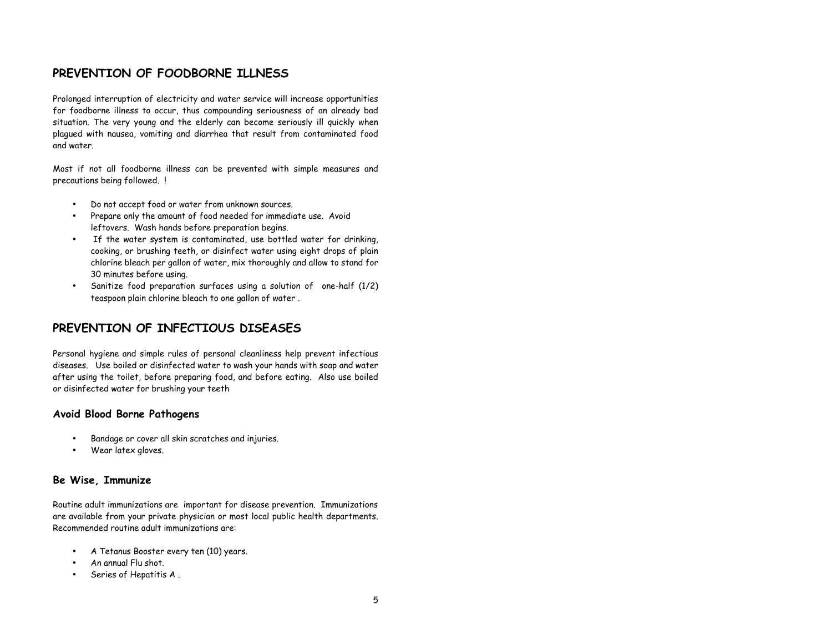### **PREVENTION OF FOODBORNE ILLNESS**

Prolonged interruption of electricity and water service will increase opportunities for foodborne illness to occur, thus compounding seriousness of an already bad situation. The very young and the elderly can become seriously ill quickly when plagued with nausea, vomiting and diarrhea that result from contaminated food and water.

Most if not all foodborne illness can be prevented with simple measures and precautions being followed. !

- Do not accept food or water from unknown sources.
- Prepare only the amount of food needed for immediate use. Avoid leftovers. Wash hands before preparation begins.
- If the water system is contaminated, use bottled water for drinking, cooking, or brushing teeth, or disinfect water using eight drops of plain chlorine bleach per gallon of water, mix thoroughly and allow to stand for 30 minutes before using.
- Sanitize food preparation surfaces using a solution of one-half (1/2) teaspoon plain chlorine bleach to one gallon of water .

### **PREVENTION OF INFECTIOUS DISEASES**

Personal hygiene and simple rules of personal cleanliness help prevent infectious diseases. Use boiled or disinfected water to wash your hands with soap and water after using the toilet, before preparing food, and before eating. Also use boiled or disinfected water for brushing your teeth

#### **Avoid Blood Borne Pathogens**

- Bandage or cover all skin scratches and injuries.
- Wear latex gloves.

#### **Be Wise, Immunize**

Routine adult immunizations are important for disease prevention. Immunizations are available from your private physician or most local public health departments. Recommended routine adult immunizations are:

- A Tetanus Booster every ten (10) years.
- An annual Flu shot.
- Series of Hepatitis A .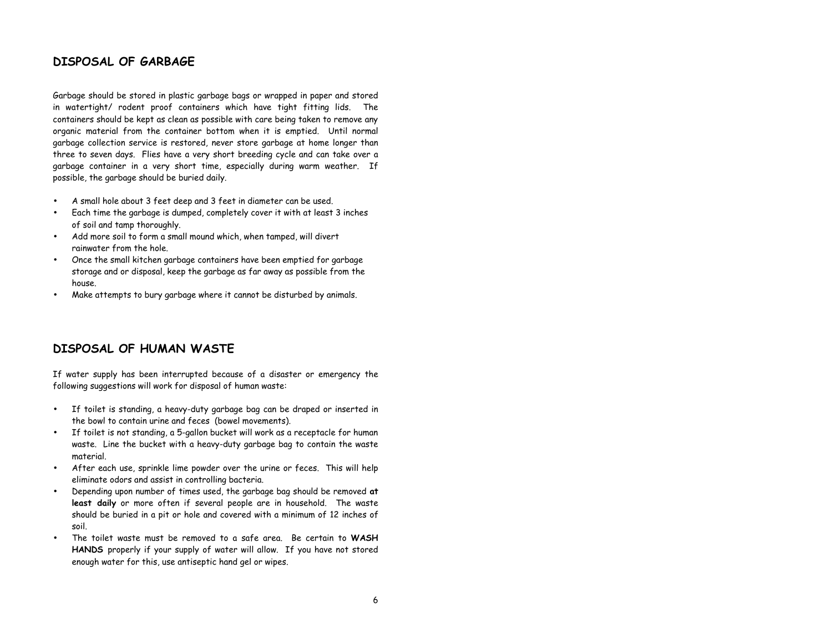#### **DISPOSAL OF GARBAGE**

Garbage should be stored in plastic garbage bags or wrapped in paper and stored in watertight/ rodent proof containers which have tight fitting lids. The containers should be kept as clean as possible with care being taken to remove any organic material from the container bottom when it is emptied. Until normal garbage collection service is restored, never store garbage at home longer than three to seven days. Flies have a very short breeding cycle and can take over a garbage container in a very short time, especially during warm weather. If possible, the garbage should be buried daily.

- A small hole about 3 feet deep and 3 feet in diameter can be used.
- Each time the garbage is dumped, completely cover it with at least 3 inches of soil and tamp thoroughly.
- Add more soil to form a small mound which, when tamped, will divert rainwater from the hole.
- Once the small kitchen garbage containers have been emptied for garbage storage and or disposal, keep the garbage as far away as possible from the house.
- Make attempts to bury garbage where it cannot be disturbed by animals.

### **DISPOSAL OF HUMAN WASTE**

If water supply has been interrupted because of a disaster or emergency the following suggestions will work for disposal of human waste:

- If toilet is standing, a heavy-duty garbage bag can be draped or inserted in the bowl to contain urine and feces (bowel movements).
- If toilet is not standing, a 5-gallon bucket will work as a receptacle for human waste. Line the bucket with a heavy-duty garbage bag to contain the waste material.
- After each use, sprinkle lime powder over the urine or feces. This will help eliminate odors and assist in controlling bacteria.
- Depending upon number of times used, the garbage bag should be removed **at least daily** or more often if several people are in household. The waste should be buried in a pit or hole and covered with a minimum of 12 inches of soil.
- The toilet waste must be removed to a safe area. Be certain to **WASH HANDS** properly if your supply of water will allow. If you have not stored enough water for this, use antiseptic hand gel or wipes.